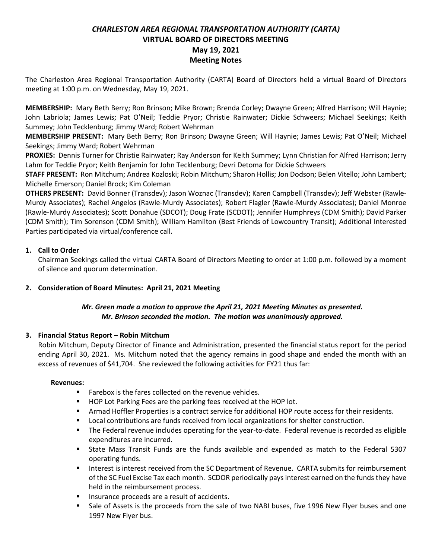# *CHARLESTON AREA REGIONAL TRANSPORTATION AUTHORITY (CARTA)* **VIRTUAL BOARD OF DIRECTORS MEETING May 19, 2021 Meeting Notes**

The Charleston Area Regional Transportation Authority (CARTA) Board of Directors held a virtual Board of Directors meeting at 1:00 p.m. on Wednesday, May 19, 2021.

**MEMBERSHIP:** Mary Beth Berry; Ron Brinson; Mike Brown; Brenda Corley; Dwayne Green; Alfred Harrison; Will Haynie; John Labriola; James Lewis; Pat O'Neil; Teddie Pryor; Christie Rainwater; Dickie Schweers; Michael Seekings; Keith Summey; John Tecklenburg; Jimmy Ward; Robert Wehrman

**MEMBERSHIP PRESENT:** Mary Beth Berry; Ron Brinson; Dwayne Green; Will Haynie; James Lewis; Pat O'Neil; Michael Seekings; Jimmy Ward; Robert Wehrman

**PROXIES:** Dennis Turner for Christie Rainwater; Ray Anderson for Keith Summey; Lynn Christian for Alfred Harrison; Jerry Lahm for Teddie Pryor; Keith Benjamin for John Tecklenburg; Devri Detoma for Dickie Schweers

**STAFF PRESENT:** Ron Mitchum; Andrea Kozloski; Robin Mitchum; Sharon Hollis; Jon Dodson; Belen Vitello; John Lambert; Michelle Emerson; Daniel Brock; Kim Coleman

**OTHERS PRESENT:** David Bonner (Transdev); Jason Woznac (Transdev); Karen Campbell (Transdev); Jeff Webster (Rawle-Murdy Associates); Rachel Angelos (Rawle-Murdy Associates); Robert Flagler (Rawle-Murdy Associates); Daniel Monroe (Rawle-Murdy Associates); Scott Donahue (SDCOT); Doug Frate (SCDOT); Jennifer Humphreys (CDM Smith); David Parker (CDM Smith); Tim Sorenson (CDM Smith); William Hamilton (Best Friends of Lowcountry Transit); Additional Interested Parties participated via virtual/conference call.

# **1. Call to Order**

Chairman Seekings called the virtual CARTA Board of Directors Meeting to order at 1:00 p.m. followed by a moment of silence and quorum determination.

# **2. Consideration of Board Minutes: April 21, 2021 Meeting**

# *Mr. Green made a motion to approve the April 21, 2021 Meeting Minutes as presented. Mr. Brinson seconded the motion. The motion was unanimously approved.*

# **3. Financial Status Report – Robin Mitchum**

Robin Mitchum, Deputy Director of Finance and Administration, presented the financial status report for the period ending April 30, 2021. Ms. Mitchum noted that the agency remains in good shape and ended the month with an excess of revenues of \$41,704. She reviewed the following activities for FY21 thus far:

## **Revenues:**

- Farebox is the fares collected on the revenue vehicles.
- HOP Lot Parking Fees are the parking fees received at the HOP lot.
- **EXECT** Armad Hoffler Properties is a contract service for additional HOP route access for their residents.
- Local contributions are funds received from local organizations for shelter construction.
- The Federal revenue includes operating for the year-to-date. Federal revenue is recorded as eligible expenditures are incurred.
- State Mass Transit Funds are the funds available and expended as match to the Federal 5307 operating funds.
- Interest is interest received from the SC Department of Revenue. CARTA submits for reimbursement of the SC Fuel Excise Tax each month. SCDOR periodically pays interest earned on the funds they have held in the reimbursement process.
- Insurance proceeds are a result of accidents.
- Sale of Assets is the proceeds from the sale of two NABI buses, five 1996 New Flyer buses and one 1997 New Flyer bus.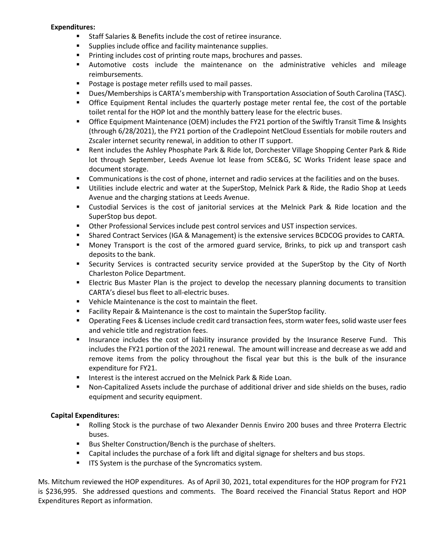### **Expenditures:**

- Staff Salaries & Benefits include the cost of retiree insurance.
- Supplies include office and facility maintenance supplies.
- Printing includes cost of printing route maps, brochures and passes.
- Automotive costs include the maintenance on the administrative vehicles and mileage reimbursements.
- Postage is postage meter refills used to mail passes.
- Dues/Memberships is CARTA's membership with Transportation Association of South Carolina (TASC).
- **•** Office Equipment Rental includes the quarterly postage meter rental fee, the cost of the portable toilet rental for the HOP lot and the monthly battery lease for the electric buses.
- Office Equipment Maintenance (OEM) includes the FY21 portion of the Swiftly Transit Time & Insights (through 6/28/2021), the FY21 portion of the Cradlepoint NetCloud Essentials for mobile routers and Zscaler internet security renewal, in addition to other IT support.
- Rent includes the Ashley Phosphate Park & Ride lot, Dorchester Village Shopping Center Park & Ride lot through September, Leeds Avenue lot lease from SCE&G, SC Works Trident lease space and document storage.
- **•** Communications is the cost of phone, internet and radio services at the facilities and on the buses.
- Utilities include electric and water at the SuperStop, Melnick Park & Ride, the Radio Shop at Leeds Avenue and the charging stations at Leeds Avenue.
- Custodial Services is the cost of janitorial services at the Melnick Park & Ride location and the SuperStop bus depot.
- **■** Other Professional Services include pest control services and UST inspection services.
- Shared Contract Services (IGA & Management) is the extensive services BCDCOG provides to CARTA.
- Money Transport is the cost of the armored guard service, Brinks, to pick up and transport cash deposits to the bank.
- **E** Security Services is contracted security service provided at the SuperStop by the City of North Charleston Police Department.
- **Example 2** Electric Bus Master Plan is the project to develop the necessary planning documents to transition CARTA's diesel bus fleet to all-electric buses.
- Vehicle Maintenance is the cost to maintain the fleet.
- Facility Repair & Maintenance is the cost to maintain the SuperStop facility.
- Operating Fees & Licenses include credit card transaction fees, storm water fees, solid waste user fees and vehicle title and registration fees.
- **■** Insurance includes the cost of liability insurance provided by the Insurance Reserve Fund. This includes the FY21 portion of the 2021 renewal. The amount will increase and decrease as we add and remove items from the policy throughout the fiscal year but this is the bulk of the insurance expenditure for FY21.
- Interest is the interest accrued on the Melnick Park & Ride Loan.
- Non-Capitalized Assets include the purchase of additional driver and side shields on the buses, radio equipment and security equipment.

## **Capital Expenditures:**

- Rolling Stock is the purchase of two Alexander Dennis Enviro 200 buses and three Proterra Electric buses.
- Bus Shelter Construction/Bench is the purchase of shelters.
- Capital includes the purchase of a fork lift and digital signage for shelters and bus stops.
- **■** ITS System is the purchase of the Syncromatics system.

Ms. Mitchum reviewed the HOP expenditures. As of April 30, 2021, total expenditures for the HOP program for FY21 is \$236,995. She addressed questions and comments. The Board received the Financial Status Report and HOP Expenditures Report as information.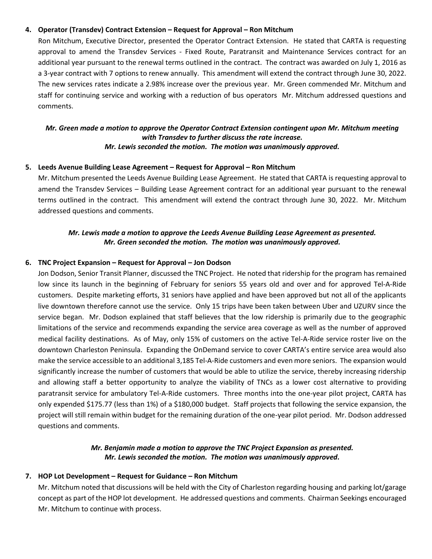### **4. Operator (Transdev) Contract Extension – Request for Approval – Ron Mitchum**

Ron Mitchum, Executive Director, presented the Operator Contract Extension. He stated that CARTA is requesting approval to amend the Transdev Services - Fixed Route, Paratransit and Maintenance Services contract for an additional year pursuant to the renewal terms outlined in the contract. The contract was awarded on July 1, 2016 as a 3-year contract with 7 options to renew annually. This amendment will extend the contract through June 30, 2022. The new services rates indicate a 2.98% increase over the previous year. Mr. Green commended Mr. Mitchum and staff for continuing service and working with a reduction of bus operators Mr. Mitchum addressed questions and comments.

# *Mr. Green made a motion to approve the Operator Contract Extension contingent upon Mr. Mitchum meeting with Transdev to further discuss the rate increase. Mr. Lewis seconded the motion. The motion was unanimously approved.*

#### **5. Leeds Avenue Building Lease Agreement – Request for Approval – Ron Mitchum**

Mr. Mitchum presented the Leeds Avenue Building Lease Agreement. He stated that CARTA is requesting approval to amend the Transdev Services – Building Lease Agreement contract for an additional year pursuant to the renewal terms outlined in the contract. This amendment will extend the contract through June 30, 2022. Mr. Mitchum addressed questions and comments.

# *Mr. Lewis made a motion to approve the Leeds Avenue Building Lease Agreement as presented. Mr. Green seconded the motion. The motion was unanimously approved.*

#### **6. TNC Project Expansion – Request for Approval – Jon Dodson**

Jon Dodson, Senior Transit Planner, discussed the TNC Project. He noted that ridership for the program has remained low since its launch in the beginning of February for seniors 55 years old and over and for approved Tel-A-Ride customers. Despite marketing efforts, 31 seniors have applied and have been approved but not all of the applicants live downtown therefore cannot use the service. Only 15 trips have been taken between Uber and UZURV since the service began. Mr. Dodson explained that staff believes that the low ridership is primarily due to the geographic limitations of the service and recommends expanding the service area coverage as well as the number of approved medical facility destinations. As of May, only 15% of customers on the active Tel-A-Ride service roster live on the downtown Charleston Peninsula. Expanding the OnDemand service to cover CARTA's entire service area would also make the service accessible to an additional 3,185 Tel-A-Ride customers and even more seniors. The expansion would significantly increase the number of customers that would be able to utilize the service, thereby increasing ridership and allowing staff a better opportunity to analyze the viability of TNCs as a lower cost alternative to providing paratransit service for ambulatory Tel-A-Ride customers. Three months into the one-year pilot project, CARTA has only expended \$175.77 (less than 1%) of a \$180,000 budget. Staff projects that following the service expansion, the project will still remain within budget for the remaining duration of the one-year pilot period. Mr. Dodson addressed questions and comments.

# *Mr. Benjamin made a motion to approve the TNC Project Expansion as presented. Mr. Lewis seconded the motion. The motion was unanimously approved.*

#### **7. HOP Lot Development – Request for Guidance – Ron Mitchum**

Mr. Mitchum noted that discussions will be held with the City of Charleston regarding housing and parking lot/garage concept as part of the HOP lot development. He addressed questions and comments. Chairman Seekings encouraged Mr. Mitchum to continue with process.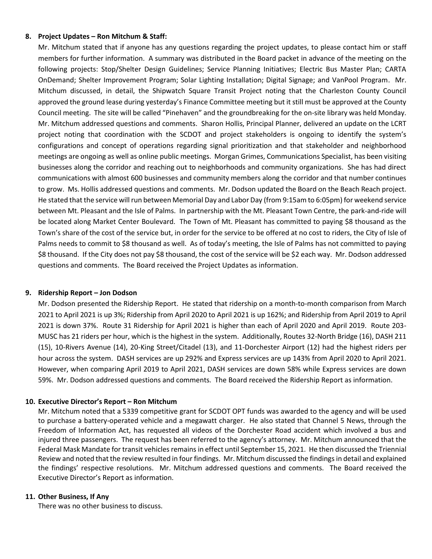### **8. Project Updates – Ron Mitchum & Staff:**

Mr. Mitchum stated that if anyone has any questions regarding the project updates, to please contact him or staff members for further information. A summary was distributed in the Board packet in advance of the meeting on the following projects: Stop/Shelter Design Guidelines; Service Planning Initiatives; Electric Bus Master Plan; CARTA OnDemand; Shelter Improvement Program; Solar Lighting Installation; Digital Signage; and VanPool Program. Mr. Mitchum discussed, in detail, the Shipwatch Square Transit Project noting that the Charleston County Council approved the ground lease during yesterday's Finance Committee meeting but it still must be approved at the County Council meeting. The site will be called "Pinehaven" and the groundbreaking for the on-site library was held Monday. Mr. Mitchum addressed questions and comments. Sharon Hollis, Principal Planner, delivered an update on the LCRT project noting that coordination with the SCDOT and project stakeholders is ongoing to identify the system's configurations and concept of operations regarding signal prioritization and that stakeholder and neighborhood meetings are ongoing as well as online public meetings. Morgan Grimes, Communications Specialist, has been visiting businesses along the corridor and reaching out to neighborhoods and community organizations. She has had direct communications with almost 600 businesses and community members along the corridor and that number continues to grow. Ms. Hollis addressed questions and comments. Mr. Dodson updated the Board on the Beach Reach project. He stated that the service will run between Memorial Day and Labor Day (from 9:15am to 6:05pm) for weekend service between Mt. Pleasant and the Isle of Palms. In partnership with the Mt. Pleasant Town Centre, the park-and-ride will be located along Market Center Boulevard. The Town of Mt. Pleasant has committed to paying \$8 thousand as the Town's share of the cost of the service but, in order for the service to be offered at no cost to riders, the City of Isle of Palms needs to commit to \$8 thousand as well. As of today's meeting, the Isle of Palms has not committed to paying \$8 thousand. If the City does not pay \$8 thousand, the cost of the service will be \$2 each way. Mr. Dodson addressed questions and comments. The Board received the Project Updates as information.

### **9. Ridership Report – Jon Dodson**

Mr. Dodson presented the Ridership Report. He stated that ridership on a month-to-month comparison from March 2021 to April 2021 is up 3%; Ridership from April 2020 to April 2021 is up 162%; and Ridership from April 2019 to April 2021 is down 37%. Route 31 Ridership for April 2021 is higher than each of April 2020 and April 2019. Route 203- MUSC has 21 riders per hour, which is the highest in the system. Additionally, Routes 32-North Bridge (16), DASH 211 (15), 10-Rivers Avenue (14), 20-King Street/Citadel (13), and 11-Dorchester Airport (12) had the highest riders per hour across the system. DASH services are up 292% and Express services are up 143% from April 2020 to April 2021. However, when comparing April 2019 to April 2021, DASH services are down 58% while Express services are down 59%. Mr. Dodson addressed questions and comments. The Board received the Ridership Report as information.

## **10. Executive Director's Report – Ron Mitchum**

Mr. Mitchum noted that a 5339 competitive grant for SCDOT OPT funds was awarded to the agency and will be used to purchase a battery-operated vehicle and a megawatt charger. He also stated that Channel 5 News, through the Freedom of Information Act, has requested all videos of the Dorchester Road accident which involved a bus and injured three passengers. The request has been referred to the agency's attorney. Mr. Mitchum announced that the Federal Mask Mandate for transit vehicles remains in effect until September 15, 2021. He then discussed the Triennial Review and noted that the review resulted in four findings. Mr. Mitchum discussed the findingsin detail and explained the findings' respective resolutions. Mr. Mitchum addressed questions and comments. The Board received the Executive Director's Report as information.

### **11. Other Business, If Any**

There was no other business to discuss.